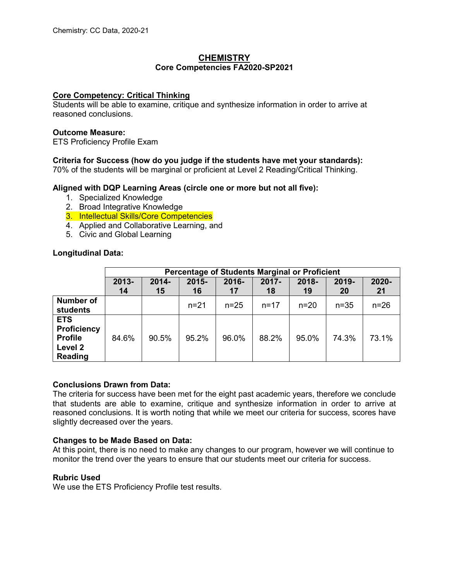## **CHEMISTRY Core Competencies FA2020-SP2021**

## **Core Competency: Critical Thinking**

Students will be able to examine, critique and synthesize information in order to arrive at reasoned conclusions.

## **Outcome Measure:**

ETS Proficiency Profile Exam

## **Criteria for Success (how do you judge if the students have met your standards):**

70% of the students will be marginal or proficient at Level 2 Reading/Critical Thinking.

## **Aligned with DQP Learning Areas (circle one or more but not all five):**

- 1. Specialized Knowledge
- 2. Broad Integrative Knowledge
- 3. Intellectual Skills/Core Competencies
- 4. Applied and Collaborative Learning, and
- 5. Civic and Global Learning

## **Longitudinal Data:**

|                                                                          | Percentage of Students Marginal or Proficient |          |          |          |          |          |          |        |  |
|--------------------------------------------------------------------------|-----------------------------------------------|----------|----------|----------|----------|----------|----------|--------|--|
|                                                                          | $2013 -$                                      | $2014 -$ | $2015 -$ | 2016-    | $2017 -$ | 2018-    | 2019-    | 2020-  |  |
|                                                                          | 14                                            | 15       | 16       | 17       | 18       | 19       | 20       | 21     |  |
| <b>Number of</b><br>students                                             |                                               |          | $n = 21$ | $n = 25$ | $n = 17$ | $n = 20$ | $n = 35$ | $n=26$ |  |
| <b>ETS</b><br><b>Proficiency</b><br><b>Profile</b><br>Level 2<br>Reading | 84.6%                                         | 90.5%    | 95.2%    | 96.0%    | 88.2%    | 95.0%    | 74.3%    | 73.1%  |  |

## **Conclusions Drawn from Data:**

The criteria for success have been met for the eight past academic years, therefore we conclude that students are able to examine, critique and synthesize information in order to arrive at reasoned conclusions. It is worth noting that while we meet our criteria for success, scores have slightly decreased over the years.

## **Changes to be Made Based on Data:**

At this point, there is no need to make any changes to our program, however we will continue to monitor the trend over the years to ensure that our students meet our criteria for success.

## **Rubric Used**

We use the ETS Proficiency Profile test results.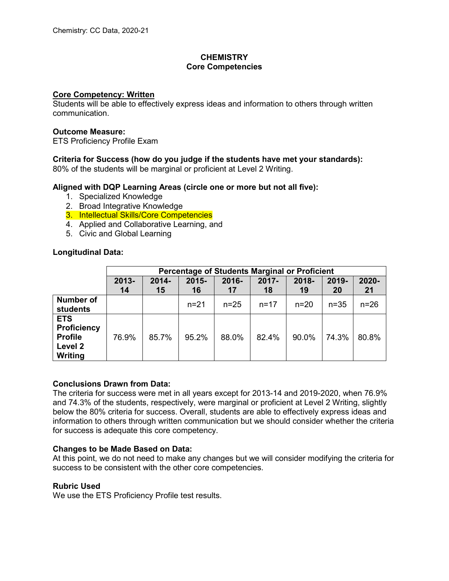# **CHEMISTRY Core Competencies**

## **Core Competency: Written**

Students will be able to effectively express ideas and information to others through written communication.

## **Outcome Measure:**

ETS Proficiency Profile Exam

# **Criteria for Success (how do you judge if the students have met your standards):**

80% of the students will be marginal or proficient at Level 2 Writing.

## **Aligned with DQP Learning Areas (circle one or more but not all five):**

- 1. Specialized Knowledge
- 2. Broad Integrative Knowledge
- 3. Intellectual Skills/Core Competencies
- 4. Applied and Collaborative Learning, and
- 5. Civic and Global Learning

## **Longitudinal Data:**

|                                                                          | <b>Percentage of Students Marginal or Proficient</b> |                |                |             |                |             |             |             |  |
|--------------------------------------------------------------------------|------------------------------------------------------|----------------|----------------|-------------|----------------|-------------|-------------|-------------|--|
|                                                                          | 2013-<br>14                                          | $2014 -$<br>15 | $2015 -$<br>16 | 2016-<br>17 | $2017 -$<br>18 | 2018-<br>19 | 2019-<br>20 | 2020-<br>21 |  |
| <b>Number of</b><br>students                                             |                                                      |                | $n = 21$       | $n = 25$    | $n = 17$       | $n = 20$    | $n=35$      | $n=26$      |  |
| <b>ETS</b><br><b>Proficiency</b><br><b>Profile</b><br>Level 2<br>Writing | 76.9%                                                | 85.7%          | 95.2%          | 88.0%       | 82.4%          | 90.0%       | 74.3%       | 80.8%       |  |

# **Conclusions Drawn from Data:**

The criteria for success were met in all years except for 2013-14 and 2019-2020, when 76.9% and 74.3% of the students, respectively, were marginal or proficient at Level 2 Writing, slightly below the 80% criteria for success. Overall, students are able to effectively express ideas and information to others through written communication but we should consider whether the criteria for success is adequate this core competency.

## **Changes to be Made Based on Data:**

At this point, we do not need to make any changes but we will consider modifying the criteria for success to be consistent with the other core competencies.

## **Rubric Used**

We use the ETS Proficiency Profile test results.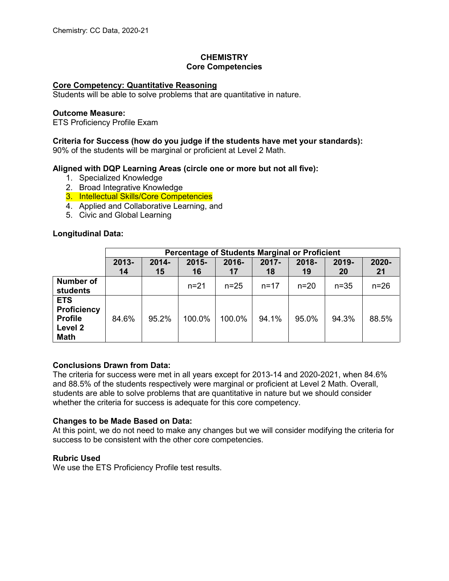# **CHEMISTRY Core Competencies**

## **Core Competency: Quantitative Reasoning**

Students will be able to solve problems that are quantitative in nature.

#### **Outcome Measure:**

ETS Proficiency Profile Exam

## **Criteria for Success (how do you judge if the students have met your standards):**

90% of the students will be marginal or proficient at Level 2 Math.

## **Aligned with DQP Learning Areas (circle one or more but not all five):**

- 1. Specialized Knowledge
- 2. Broad Integrative Knowledge
- 3. Intellectual Skills/Core Competencies
- 4. Applied and Collaborative Learning, and
- 5. Civic and Global Learning

## **Longitudinal Data:**

|                                                                              | Percentage of Students Marginal or Proficient |                |                |                |                |             |             |             |  |
|------------------------------------------------------------------------------|-----------------------------------------------|----------------|----------------|----------------|----------------|-------------|-------------|-------------|--|
|                                                                              | 2013-<br>14                                   | $2014 -$<br>15 | $2015 -$<br>16 | $2016 -$<br>17 | $2017 -$<br>18 | 2018-<br>19 | 2019-<br>20 | 2020-<br>21 |  |
| <b>Number of</b><br>students                                                 |                                               |                | $n = 21$       | $n = 25$       | $n = 17$       | $n = 20$    | $n = 35$    | $n=26$      |  |
| <b>ETS</b><br><b>Proficiency</b><br><b>Profile</b><br>Level 2<br><b>Math</b> | 84.6%                                         | 95.2%          | 100.0%         | 100.0%         | 94.1%          | 95.0%       | 94.3%       | 88.5%       |  |

## **Conclusions Drawn from Data:**

The criteria for success were met in all years except for 2013-14 and 2020-2021, when 84.6% and 88.5% of the students respectively were marginal or proficient at Level 2 Math. Overall, students are able to solve problems that are quantitative in nature but we should consider whether the criteria for success is adequate for this core competency.

## **Changes to be Made Based on Data:**

At this point, we do not need to make any changes but we will consider modifying the criteria for success to be consistent with the other core competencies.

## **Rubric Used**

We use the ETS Proficiency Profile test results.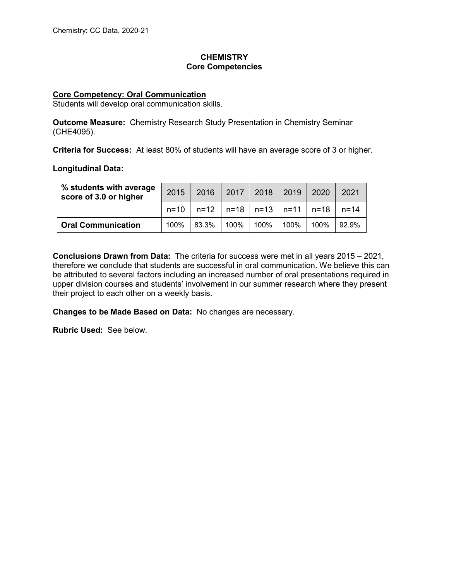# **CHEMISTRY Core Competencies**

## **Core Competency: Oral Communication**

Students will develop oral communication skills.

**Outcome Measure:** Chemistry Research Study Presentation in Chemistry Seminar (CHE4095).

**Criteria for Success:** At least 80% of students will have an average score of 3 or higher.

#### **Longitudinal Data:**

| % students with average<br>score of 3.0 or higher | 2015 |                                                  | 2016   2017   2018   2019 |  | 2020 | 2021  |
|---------------------------------------------------|------|--------------------------------------------------|---------------------------|--|------|-------|
|                                                   |      | $n=10$   n=12   n=18   n=13   n=11   n=18   n=14 |                           |  |      |       |
| <b>Oral Communication</b>                         | 100% | 83.3%                                            | 100%   100%   100%        |  | 100% | 92.9% |

**Conclusions Drawn from Data:** The criteria for success were met in all years 2015 – 2021, therefore we conclude that students are successful in oral communication. We believe this can be attributed to several factors including an increased number of oral presentations required in upper division courses and students' involvement in our summer research where they present their project to each other on a weekly basis.

**Changes to be Made Based on Data:** No changes are necessary.

**Rubric Used:** See below.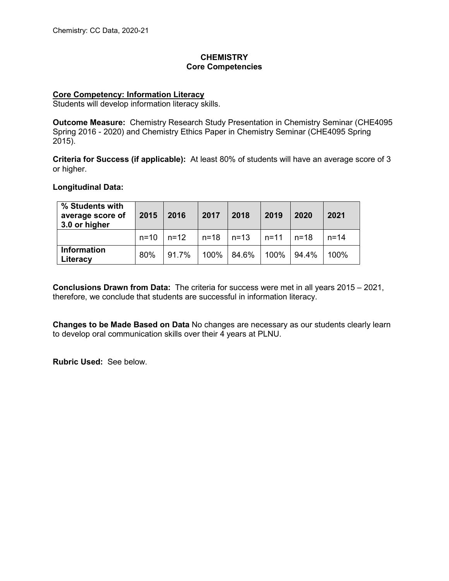# **CHEMISTRY Core Competencies**

## **Core Competency: Information Literacy**

Students will develop information literacy skills.

**Outcome Measure:** Chemistry Research Study Presentation in Chemistry Seminar (CHE4095 Spring 2016 - 2020) and Chemistry Ethics Paper in Chemistry Seminar (CHE4095 Spring 2015).

**Criteria for Success (if applicable):** At least 80% of students will have an average score of 3 or higher.

## **Longitudinal Data:**

| % Students with<br>average score of<br>3.0 or higher | 2015 | 2016        | 2017                      | 2018  | 2019                  | 2020  | 2021 |
|------------------------------------------------------|------|-------------|---------------------------|-------|-----------------------|-------|------|
|                                                      |      | n=10 l n=12 | $\vert$ n=18 $\vert$ n=13 |       | $\ln = 11$ $\ln = 18$ |       | n=14 |
| <b>Information</b><br>Literacy                       | 80%  | 91.7%       | 100%                      | 84.6% | 100%                  | 94.4% | 100% |

**Conclusions Drawn from Data:** The criteria for success were met in all years 2015 – 2021, therefore, we conclude that students are successful in information literacy.

**Changes to be Made Based on Data** No changes are necessary as our students clearly learn to develop oral communication skills over their 4 years at PLNU.

**Rubric Used:** See below.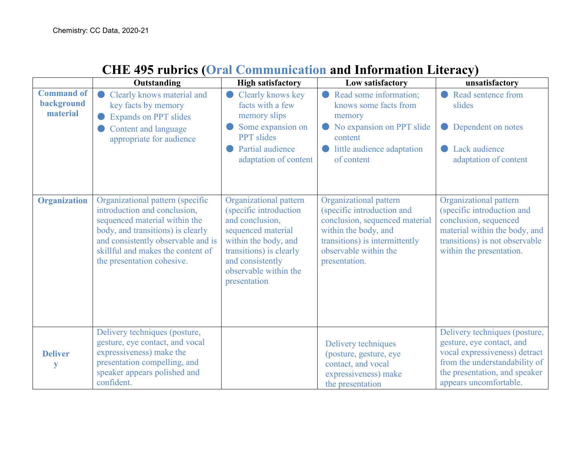|                                             |                                                                                                                                                                                                                                                 |                                                                                                                                                                                                           |                                                                                                                                                                                            | J <i>J</i>                                                                                                                                                                              |
|---------------------------------------------|-------------------------------------------------------------------------------------------------------------------------------------------------------------------------------------------------------------------------------------------------|-----------------------------------------------------------------------------------------------------------------------------------------------------------------------------------------------------------|--------------------------------------------------------------------------------------------------------------------------------------------------------------------------------------------|-----------------------------------------------------------------------------------------------------------------------------------------------------------------------------------------|
|                                             | Outstanding                                                                                                                                                                                                                                     | <b>High satisfactory</b>                                                                                                                                                                                  | Low satisfactory                                                                                                                                                                           | unsatisfactory                                                                                                                                                                          |
| <b>Command of</b><br>background<br>material | Clearly knows material and<br>key facts by memory<br><b>Expands on PPT slides</b>                                                                                                                                                               | Clearly knows key<br>facts with a few<br>memory slips                                                                                                                                                     | Read some information;<br>knows some facts from<br>memory                                                                                                                                  | Read sentence from<br>slides                                                                                                                                                            |
|                                             | Content and language<br>appropriate for audience                                                                                                                                                                                                | Some expansion on<br><b>PPT</b> slides                                                                                                                                                                    | No expansion on PPT slide<br>content                                                                                                                                                       | Dependent on notes                                                                                                                                                                      |
|                                             |                                                                                                                                                                                                                                                 | Partial audience<br>adaptation of content                                                                                                                                                                 | little audience adaptation<br>of content                                                                                                                                                   | Lack audience<br>adaptation of content                                                                                                                                                  |
| <b>Organization</b>                         | Organizational pattern (specific<br>introduction and conclusion,<br>sequenced material within the<br>body, and transitions) is clearly<br>and consistently observable and is<br>skillful and makes the content of<br>the presentation cohesive. | Organizational pattern<br>(specific introduction<br>and conclusion,<br>sequenced material<br>within the body, and<br>transitions) is clearly<br>and consistently<br>observable within the<br>presentation | Organizational pattern<br>(specific introduction and<br>conclusion, sequenced material<br>within the body, and<br>transitions) is intermittently<br>observable within the<br>presentation. | Organizational pattern<br>(specific introduction and<br>conclusion, sequenced<br>material within the body, and<br>transitions) is not observable<br>within the presentation.            |
| <b>Deliver</b><br>y                         | Delivery techniques (posture,<br>gesture, eye contact, and vocal<br>expressiveness) make the<br>presentation compelling, and<br>speaker appears polished and<br>confident.                                                                      |                                                                                                                                                                                                           | Delivery techniques<br>(posture, gesture, eye<br>contact, and vocal<br>expressiveness) make<br>the presentation                                                                            | Delivery techniques (posture,<br>gesture, eye contact, and<br>vocal expressiveness) detract<br>from the understandability of<br>the presentation, and speaker<br>appears uncomfortable. |

# **CHE 495 rubrics (Oral Communication and Information Literacy)**